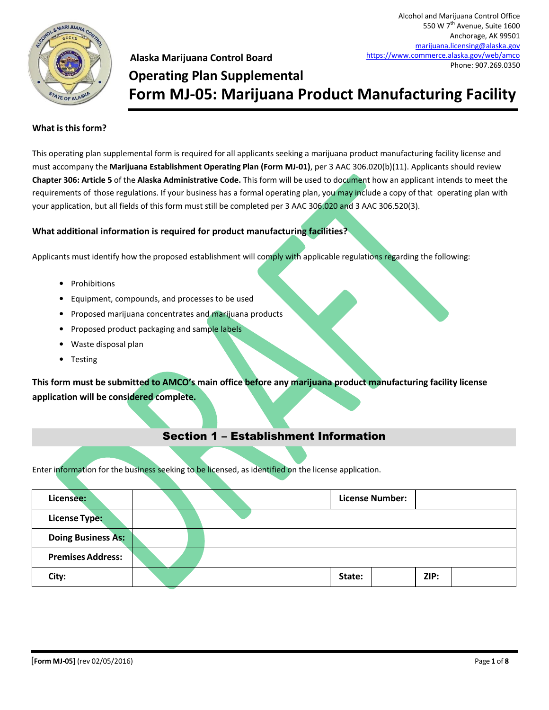

Alcohol and Marijuana Control Office 550 W 7<sup>th</sup> Avenue, Suite 1600 Anchorage, AK 99501

#### **What is this form?**

This operating plan supplemental form is required for all applicants seeking a marijuana product manufacturing facility license and must accompany the **Marijuana Establishment Operating Plan (Form MJ-01)**, per 3 AAC 306.020(b)(11). Applicants should review **Chapter 306: Article 5** of the **Alaska Administrative Code.** This form will be used to document how an applicant intends to meet the requirements of those regulations. If your business has a formal operating plan, you may include a copy of that operating plan with your application, but all fields of this form must still be completed per 3 AAC 306.020 and 3 AAC 306.520(3).

#### **What additional information is required for product manufacturing facilities?**

Applicants must identify how the proposed establishment will comply with applicable regulations regarding the following:

- Prohibitions
- Equipment, compounds, and processes to be used
- Proposed marijuana concentrates and marijuana products
- Proposed product packaging and sample labels
- Waste disposal plan
- Testing

**This form must be submitted to AMCO's main office before any marijuana product manufacturing facility license application will be considered complete.**

### Section 1 – Establishment Information

Enter information for the business seeking to be licensed, as identified on the license application.

| Licensee:                 |  | <b>License Number:</b> |      |
|---------------------------|--|------------------------|------|
| <b>License Type:</b>      |  |                        |      |
| <b>Doing Business As:</b> |  |                        |      |
| <b>Premises Address:</b>  |  |                        |      |
| City:                     |  | State:                 | ZIP: |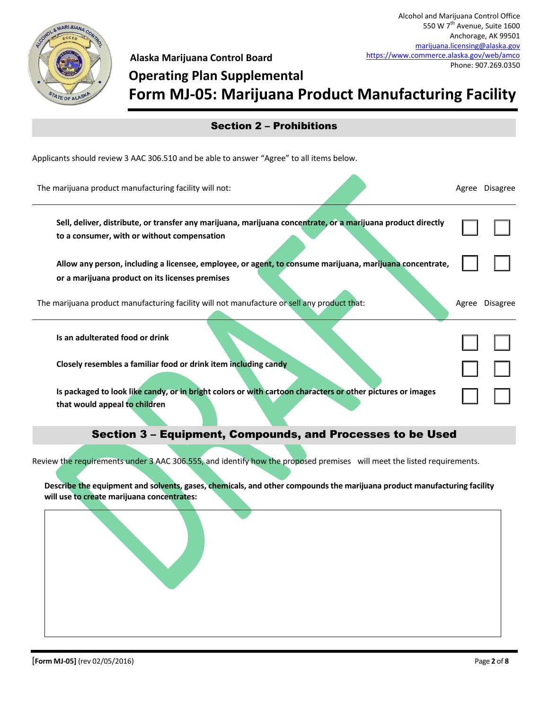

# **Operating Plan Supplemental Form MJ-05: Marijuana Product Manufacturing Facility**

| <b>Section 2 - Prohibitions</b>                                                                                                                             |  |                |  |  |
|-------------------------------------------------------------------------------------------------------------------------------------------------------------|--|----------------|--|--|
| Applicants should review 3 AAC 306.510 and be able to answer "Agree" to all items below.                                                                    |  |                |  |  |
| The marijuana product manufacturing facility will not:                                                                                                      |  | Agree Disagree |  |  |
| Sell, deliver, distribute, or transfer any marijuana, marijuana concentrate, or a marijuana product directly<br>to a consumer, with or without compensation |  |                |  |  |
| Allow any person, including a licensee, employee, or agent, to consume marijuana, marijuana concentrate,<br>or a marijuana product on its licenses premises |  |                |  |  |
| The marijuana product manufacturing facility will not manufacture or sell any product that:                                                                 |  | Agree Disagree |  |  |
| Is an adulterated food or drink                                                                                                                             |  |                |  |  |
| Closely resembles a familiar food or drink item including candy                                                                                             |  |                |  |  |
| Is packaged to look like candy, or in bright colors or with cartoon characters or other pictures or images<br>that would appeal to children                 |  |                |  |  |
| Section 3 - Equipment, Compounds, and Processes to be Used                                                                                                  |  |                |  |  |

Review the requirements under 3 AAC 306.555, and identify how the proposed premises will meet the listed requirements.

**Describe the equipment and solvents, gases, chemicals, and other compounds the marijuana product manufacturing facility will use to create marijuana concentrates:**

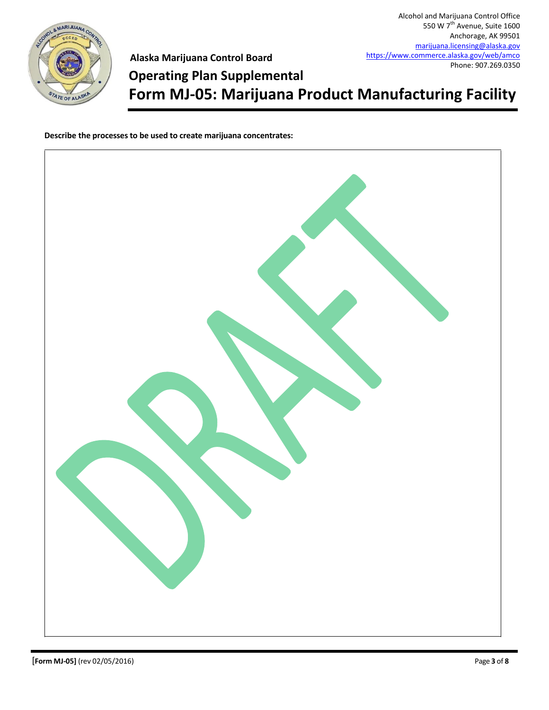

Alcohol and Marijuana Control Office 550 W  $7<sup>th</sup>$  Avenue, Suite 1600 Anchorage, AK 99501 [marijuana.licensing@alaska.gov](mailto:marijuana.licensing@alaska.gov) <https://www.commerce.alaska.gov/web/amco> Phone: 907.269.0350

**Operating Plan Supplemental**

**Form MJ-05: Marijuana Product Manufacturing Facility**

**Describe the processes to be used to create marijuana concentrates:**

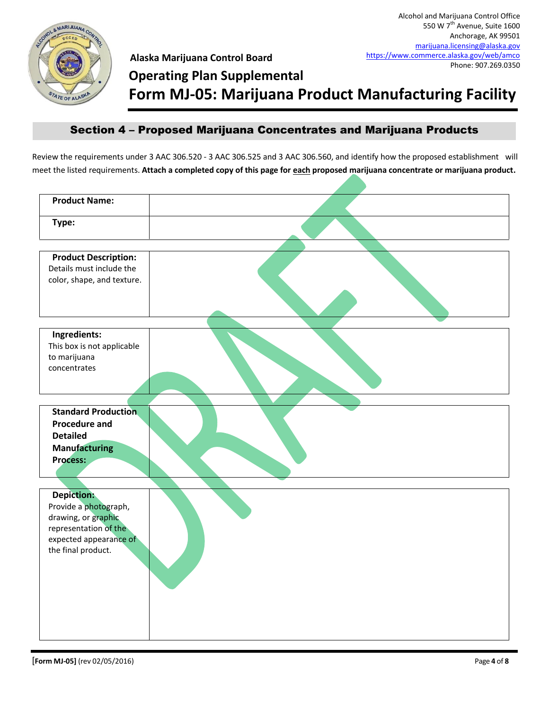

## **Operating Plan Supplemental**

**Form MJ-05: Marijuana Product Manufacturing Facility**

## Section 4 – Proposed Marijuana Concentrates and Marijuana Products

Review the requirements under 3 AAC 306.520 - 3 AAC 306.525 and 3 AAC 306.560, and identify how the proposed establishment will meet the listed requirements. **Attach a completed copy of this page for each proposed marijuana concentrate or marijuana product.**

| <b>Product Name:</b>        |  |
|-----------------------------|--|
| Type:                       |  |
|                             |  |
| <b>Product Description:</b> |  |
| Details must include the    |  |
| color, shape, and texture.  |  |
|                             |  |
| Ingredients:                |  |
| This box is not applicable  |  |
| to marijuana                |  |
| concentrates                |  |
|                             |  |
|                             |  |
| <b>Standard Production</b>  |  |
| <b>Procedure and</b>        |  |
| <b>Detailed</b>             |  |
| <b>Manufacturing</b>        |  |
| <b>Process:</b>             |  |
|                             |  |
| <b>Depiction:</b>           |  |
| Provide a photograph,       |  |
| drawing, or graphic         |  |
| representation of the       |  |
| expected appearance of      |  |
| the final product.          |  |
|                             |  |
|                             |  |
|                             |  |
|                             |  |
|                             |  |
|                             |  |
|                             |  |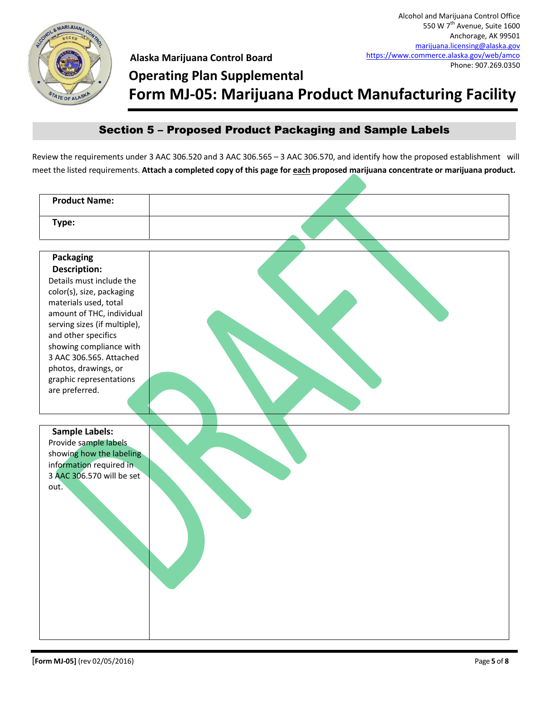

## **Operating Plan Supplemental**

**Form MJ-05: Marijuana Product Manufacturing Facility**

## Section 5 – Proposed Product Packaging and Sample Labels

Review the requirements under 3 AAC 306.520 and 3 AAC 306.565 – 3 AAC 306.570, and identify how the proposed establishment will meet the listed requirements. **Attach a completed copy of this page for each proposed marijuana concentrate or marijuana product.**

| <b>Product Name:</b>         |  |
|------------------------------|--|
| Type:                        |  |
|                              |  |
| <b>Packaging</b>             |  |
| <b>Description:</b>          |  |
| Details must include the     |  |
| color(s), size, packaging    |  |
| materials used, total        |  |
| amount of THC, individual    |  |
| serving sizes (if multiple), |  |
| and other specifics          |  |
| showing compliance with      |  |
| 3 AAC 306.565. Attached      |  |
| photos, drawings, or         |  |
| graphic representations      |  |
| are preferred.               |  |
|                              |  |
|                              |  |
| <b>Sample Labels:</b>        |  |
| Provide sample labels        |  |
| showing how the labeling     |  |
| information required in      |  |
| 3 AAC 306.570 will be set    |  |
| out.                         |  |
|                              |  |
|                              |  |
|                              |  |
|                              |  |
|                              |  |
|                              |  |
|                              |  |
|                              |  |
|                              |  |
|                              |  |
|                              |  |
|                              |  |
|                              |  |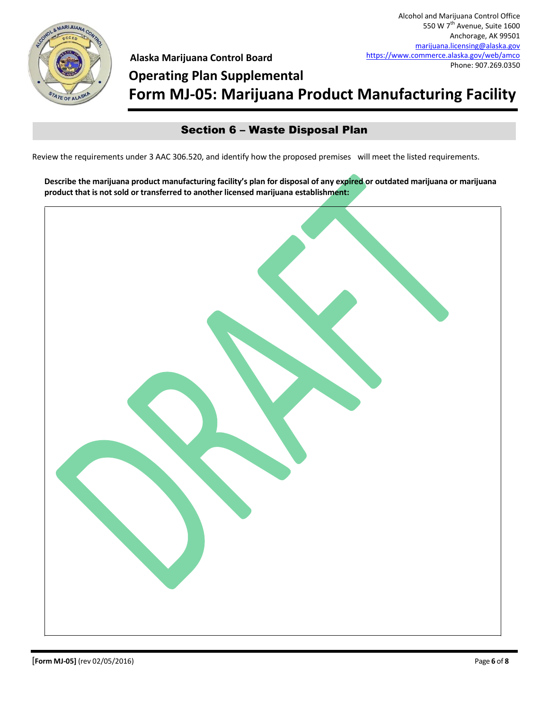

# **Operating Plan Supplemental Form MJ-05: Marijuana Product Manufacturing Facility**

## Section 6 – Waste Disposal Plan

Review the requirements under 3 AAC 306.520, and identify how the proposed premises will meet the listed requirements.

**Describe the marijuana product manufacturing facility's plan for disposal of any expired or outdated marijuana or marijuana product that is not sold or transferred to another licensed marijuana establishment:**

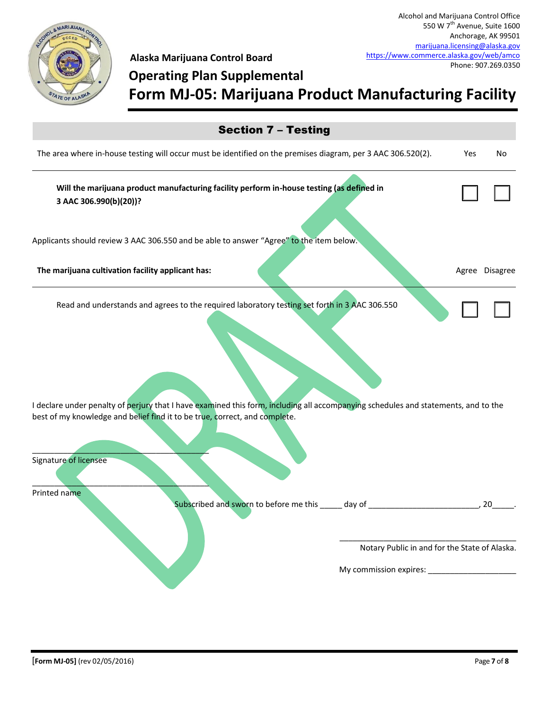

# **Operating Plan Supplemental Form MJ-05: Marijuana Product Manufacturing Facility**

| <b>Section 7 - Testing</b>                                                                                                                                                                                                                                                                                                                 |                                               |                |  |  |
|--------------------------------------------------------------------------------------------------------------------------------------------------------------------------------------------------------------------------------------------------------------------------------------------------------------------------------------------|-----------------------------------------------|----------------|--|--|
| The area where in-house testing will occur must be identified on the premises diagram, per 3 AAC 306.520(2).                                                                                                                                                                                                                               | Yes                                           | No             |  |  |
| Will the marijuana product manufacturing facility perform in-house testing (as defined in<br>3 AAC 306.990(b)(20))?                                                                                                                                                                                                                        |                                               |                |  |  |
| Applicants should review 3 AAC 306.550 and be able to answer "Agree" to the item below.                                                                                                                                                                                                                                                    |                                               |                |  |  |
| The marijuana cultivation facility applicant has:                                                                                                                                                                                                                                                                                          |                                               | Agree Disagree |  |  |
| Read and understands and agrees to the required laboratory testing set forth in 3 AAC 306.550<br>I declare under penalty of perjury that I have examined this form, including all accompanying schedules and statements, and to the<br>best of my knowledge and belief find it to be true, correct, and complete.<br>Signature of licensee |                                               |                |  |  |
| Printed name<br>Subscribed and sworn to before me this _____ day of ___________                                                                                                                                                                                                                                                            | Notary Public in and for the State of Alaska. | 20             |  |  |
|                                                                                                                                                                                                                                                                                                                                            |                                               |                |  |  |